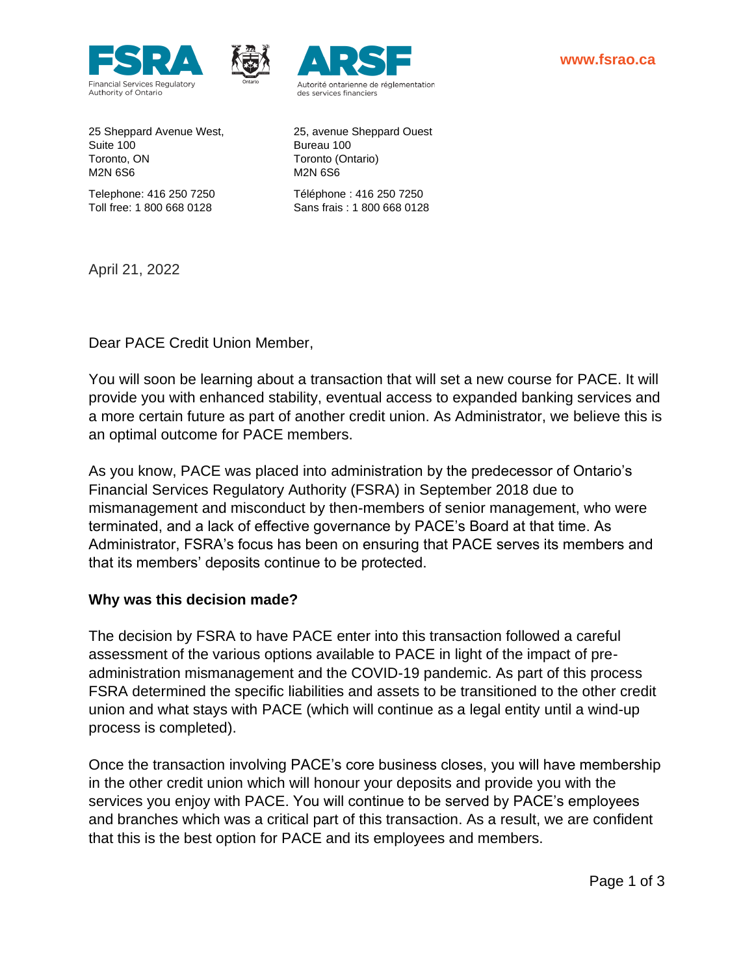



Suite 100 Bureau 100 Toronto, ON Toronto (Ontario) M2N 6S6 M2N 6S6

25 Sheppard Avenue West, 25, avenue Sheppard Ouest

Telephone: 416 250 7250 Téléphone : 416 250 7250 Toll free: 1 800 668 0128 Sans frais : 1 800 668 0128

April 21, 2022

Dear PACE Credit Union Member,

You will soon be learning about a transaction that will set a new course for PACE. It will provide you with enhanced stability, eventual access to expanded banking services and a more certain future as part of another credit union. As Administrator, we believe this is an optimal outcome for PACE members.

As you know, PACE was placed into administration by the predecessor of Ontario's Financial Services Regulatory Authority (FSRA) in September 2018 due to mismanagement and misconduct by then-members of senior management, who were terminated, and a lack of effective governance by PACE's Board at that time. As Administrator, FSRA's focus has been on ensuring that PACE serves its members and that its members' deposits continue to be protected.

## **Why was this decision made?**

The decision by FSRA to have PACE enter into this transaction followed a careful assessment of the various options available to PACE in light of the impact of preadministration mismanagement and the COVID-19 pandemic. As part of this process FSRA determined the specific liabilities and assets to be transitioned to the other credit union and what stays with PACE (which will continue as a legal entity until a wind-up process is completed).

Once the transaction involving PACE's core business closes, you will have membership in the other credit union which will honour your deposits and provide you with the services you enjoy with PACE. You will continue to be served by PACE's employees and branches which was a critical part of this transaction. As a result, we are confident that this is the best option for PACE and its employees and members.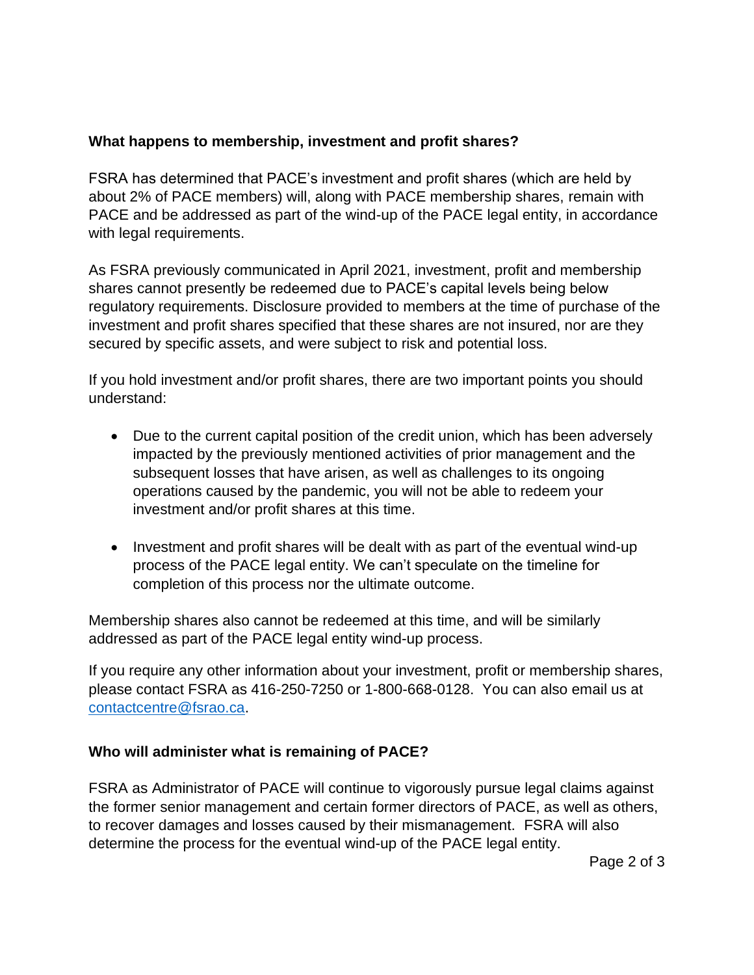## **What happens to membership, investment and profit shares?**

FSRA has determined that PACE's investment and profit shares (which are held by about 2% of PACE members) will, along with PACE membership shares, remain with PACE and be addressed as part of the wind-up of the PACE legal entity, in accordance with legal requirements.

As FSRA previously communicated in April 2021, investment, profit and membership shares cannot presently be redeemed due to PACE's capital levels being below regulatory requirements. Disclosure provided to members at the time of purchase of the investment and profit shares specified that these shares are not insured, nor are they secured by specific assets, and were subject to risk and potential loss.

If you hold investment and/or profit shares, there are two important points you should understand:

- Due to the current capital position of the credit union, which has been adversely impacted by the previously mentioned activities of prior management and the subsequent losses that have arisen, as well as challenges to its ongoing operations caused by the pandemic, you will not be able to redeem your investment and/or profit shares at this time.
- Investment and profit shares will be dealt with as part of the eventual wind-up process of the PACE legal entity. We can't speculate on the timeline for completion of this process nor the ultimate outcome.

Membership shares also cannot be redeemed at this time, and will be similarly addressed as part of the PACE legal entity wind-up process.

If you require any other information about your investment, profit or membership shares, please contact FSRA as 416-250-7250 or 1-800-668-0128. You can also email us at [contactcentre@fsrao.ca.](mailto:contactcentre@fsrao.ca)

## **Who will administer what is remaining of PACE?**

FSRA as Administrator of PACE will continue to vigorously pursue legal claims against the former senior management and certain former directors of PACE, as well as others, to recover damages and losses caused by their mismanagement. FSRA will also determine the process for the eventual wind-up of the PACE legal entity.